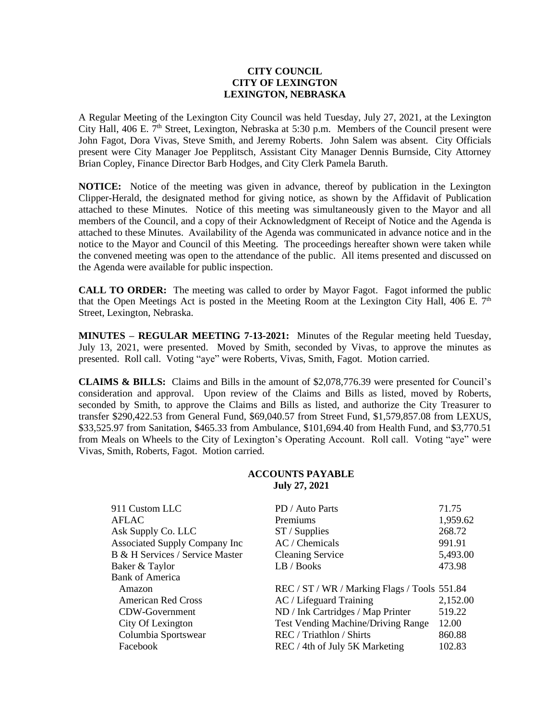## **CITY COUNCIL CITY OF LEXINGTON LEXINGTON, NEBRASKA**

A Regular Meeting of the Lexington City Council was held Tuesday, July 27, 2021, at the Lexington City Hall, 406 E.  $7<sup>th</sup>$  Street, Lexington, Nebraska at 5:30 p.m. Members of the Council present were John Fagot, Dora Vivas, Steve Smith, and Jeremy Roberts. John Salem was absent. City Officials present were City Manager Joe Pepplitsch, Assistant City Manager Dennis Burnside, City Attorney Brian Copley, Finance Director Barb Hodges, and City Clerk Pamela Baruth.

**NOTICE:** Notice of the meeting was given in advance, thereof by publication in the Lexington Clipper-Herald, the designated method for giving notice, as shown by the Affidavit of Publication attached to these Minutes. Notice of this meeting was simultaneously given to the Mayor and all members of the Council, and a copy of their Acknowledgment of Receipt of Notice and the Agenda is attached to these Minutes. Availability of the Agenda was communicated in advance notice and in the notice to the Mayor and Council of this Meeting. The proceedings hereafter shown were taken while the convened meeting was open to the attendance of the public. All items presented and discussed on the Agenda were available for public inspection.

**CALL TO ORDER:** The meeting was called to order by Mayor Fagot. Fagot informed the public that the Open Meetings Act is posted in the Meeting Room at the Lexington City Hall, 406 E.  $7<sup>th</sup>$ Street, Lexington, Nebraska.

**MINUTES – REGULAR MEETING 7-13-2021:** Minutes of the Regular meeting held Tuesday, July 13, 2021, were presented. Moved by Smith, seconded by Vivas, to approve the minutes as presented. Roll call. Voting "aye" were Roberts, Vivas, Smith, Fagot. Motion carried.

**CLAIMS & BILLS:** Claims and Bills in the amount of \$2,078,776.39 were presented for Council's consideration and approval. Upon review of the Claims and Bills as listed, moved by Roberts, seconded by Smith, to approve the Claims and Bills as listed, and authorize the City Treasurer to transfer \$290,422.53 from General Fund, \$69,040.57 from Street Fund, \$1,579,857.08 from LEXUS, \$33,525.97 from Sanitation, \$465.33 from Ambulance, \$101,694.40 from Health Fund, and \$3,770.51 from Meals on Wheels to the City of Lexington's Operating Account. Roll call. Voting "aye" were Vivas, Smith, Roberts, Fagot. Motion carried.

## **ACCOUNTS PAYABLE July 27, 2021**

| 911 Custom LLC                  | PD / Auto Parts                              | 71.75    |
|---------------------------------|----------------------------------------------|----------|
| AFLAC                           | <b>Premiums</b>                              | 1,959.62 |
| Ask Supply Co. LLC              | $ST /$ Supplies                              | 268.72   |
| Associated Supply Company Inc   | AC / Chemicals                               | 991.91   |
| B & H Services / Service Master | <b>Cleaning Service</b>                      | 5,493.00 |
| Baker & Taylor                  | LB / Books                                   | 473.98   |
| <b>Bank of America</b>          |                                              |          |
| Amazon                          | REC / ST / WR / Marking Flags / Tools 551.84 |          |
| <b>American Red Cross</b>       | AC / Lifeguard Training                      | 2,152.00 |
| <b>CDW-Government</b>           | ND / Ink Cartridges / Map Printer            | 519.22   |
| City Of Lexington               | <b>Test Vending Machine/Driving Range</b>    | 12.00    |
| Columbia Sportswear             | REC / Triathlon / Shirts                     | 860.88   |
| Facebook                        | REC / 4th of July 5K Marketing               | 102.83   |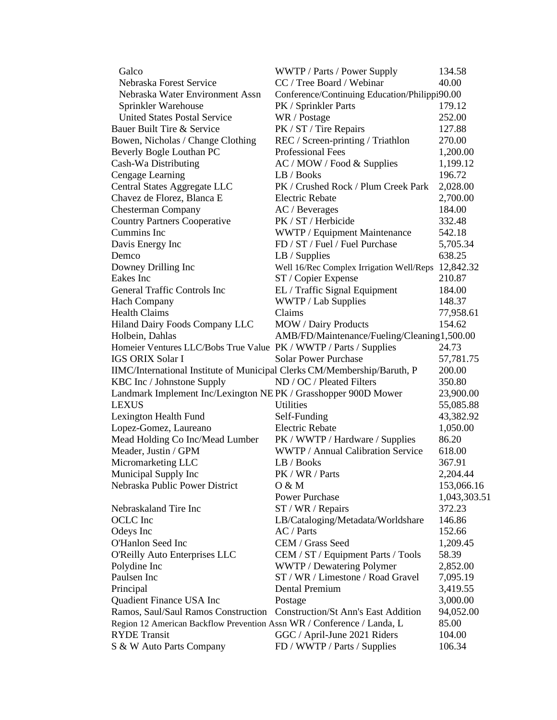| Galco                                                                    | WWTP / Parts / Power Supply                   | 134.58       |
|--------------------------------------------------------------------------|-----------------------------------------------|--------------|
| Nebraska Forest Service                                                  | CC / Tree Board / Webinar                     | 40.00        |
| Nebraska Water Environment Assn                                          | Conference/Continuing Education/Philippi90.00 |              |
| Sprinkler Warehouse                                                      | PK / Sprinkler Parts                          | 179.12       |
| <b>United States Postal Service</b>                                      | WR / Postage                                  | 252.00       |
| Bauer Built Tire & Service                                               | PK / ST / Tire Repairs                        | 127.88       |
| Bowen, Nicholas / Change Clothing                                        | REC / Screen-printing / Triathlon             | 270.00       |
| Beverly Bogle Louthan PC                                                 | Professional Fees                             | 1,200.00     |
| Cash-Wa Distributing                                                     | AC / MOW / Food & Supplies                    | 1,199.12     |
| Cengage Learning                                                         | LB / Books                                    | 196.72       |
| Central States Aggregate LLC                                             | PK / Crushed Rock / Plum Creek Park           | 2,028.00     |
| Chavez de Florez, Blanca E                                               | Electric Rebate                               | 2,700.00     |
| <b>Chesterman Company</b>                                                | AC / Beverages                                | 184.00       |
| <b>Country Partners Cooperative</b>                                      | PK / ST / Herbicide                           | 332.48       |
| Cummins Inc                                                              | WWTP / Equipment Maintenance                  | 542.18       |
| Davis Energy Inc                                                         | FD / ST / Fuel / Fuel Purchase                | 5,705.34     |
| Demco                                                                    | $LB /$ Supplies                               | 638.25       |
| Downey Drilling Inc                                                      | Well 16/Rec Complex Irrigation Well/Reps      | 12,842.32    |
| Eakes Inc                                                                | ST / Copier Expense                           | 210.87       |
| General Traffic Controls Inc                                             | EL / Traffic Signal Equipment                 | 184.00       |
| <b>Hach Company</b>                                                      | WWTP / Lab Supplies                           | 148.37       |
| <b>Health Claims</b>                                                     | Claims                                        | 77,958.61    |
| Hiland Dairy Foods Company LLC                                           | <b>MOW</b> / Dairy Products                   | 154.62       |
| Holbein, Dahlas                                                          | AMB/FD/Maintenance/Fueling/Cleaning1,500.00   |              |
| Homeier Ventures LLC/Bobs True Value PK / WWTP / Parts / Supplies        |                                               | 24.73        |
| <b>IGS ORIX Solar I</b>                                                  | <b>Solar Power Purchase</b>                   | 57,781.75    |
| IIMC/International Institute of Municipal Clerks CM/Membership/Baruth, P |                                               | 200.00       |
| KBC Inc / Johnstone Supply                                               | ND / OC / Pleated Filters                     | 350.80       |
| Landmark Implement Inc/Lexington NE PK / Grasshopper 900D Mower          |                                               | 23,900.00    |
| <b>LEXUS</b>                                                             | Utilities                                     | 55,085.88    |
| Lexington Health Fund                                                    | Self-Funding                                  | 43,382.92    |
| Lopez-Gomez, Laureano                                                    | <b>Electric Rebate</b>                        | 1,050.00     |
| Mead Holding Co Inc/Mead Lumber                                          | PK / WWTP / Hardware / Supplies               | 86.20        |
| Meader, Justin / GPM                                                     | WWTP / Annual Calibration Service             | 618.00       |
| Micromarketing LLC                                                       | LB / Books                                    | 367.91       |
| Municipal Supply Inc                                                     | PK / WR / Parts                               | 2,204.44     |
| Nebraska Public Power District                                           | O & M                                         | 153,066.16   |
|                                                                          | Power Purchase                                | 1,043,303.51 |
| Nebraskaland Tire Inc                                                    | ST / WR / Repairs                             | 372.23       |
| <b>OCLC</b> Inc                                                          | LB/Cataloging/Metadata/Worldshare             | 146.86       |
| Odeys Inc                                                                | AC / Parts                                    | 152.66       |
| O'Hanlon Seed Inc                                                        | CEM / Grass Seed                              | 1,209.45     |
| O'Reilly Auto Enterprises LLC                                            | CEM / ST / Equipment Parts / Tools            | 58.39        |
| Polydine Inc                                                             | WWTP / Dewatering Polymer                     | 2,852.00     |
| Paulsen Inc                                                              | ST / WR / Limestone / Road Gravel             | 7,095.19     |
| Principal                                                                | <b>Dental Premium</b>                         | 3,419.55     |
| Quadient Finance USA Inc                                                 | Postage                                       | 3,000.00     |
| Ramos, Saul/Saul Ramos Construction                                      | <b>Construction/St Ann's East Addition</b>    | 94,052.00    |
| Region 12 American Backflow Prevention Assn WR / Conference / Landa, L   |                                               | 85.00        |
| <b>RYDE</b> Transit                                                      | GGC / April-June 2021 Riders                  | 104.00       |
| S & W Auto Parts Company                                                 | FD / WWTP / Parts / Supplies                  | 106.34       |
|                                                                          |                                               |              |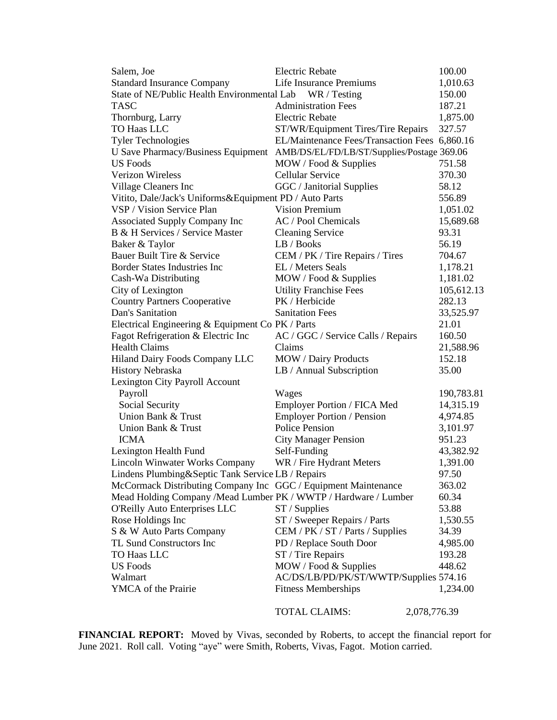| Salem, Joe                                                      | <b>Electric Rebate</b>                                                        | 100.00     |
|-----------------------------------------------------------------|-------------------------------------------------------------------------------|------------|
| <b>Standard Insurance Company</b>                               | Life Insurance Premiums                                                       | 1,010.63   |
| State of NE/Public Health Environmental Lab                     | WR / Testing                                                                  | 150.00     |
| <b>TASC</b>                                                     | <b>Administration Fees</b>                                                    | 187.21     |
| Thornburg, Larry                                                | <b>Electric Rebate</b>                                                        | 1,875.00   |
| TO Haas LLC                                                     | ST/WR/Equipment Tires/Tire Repairs                                            | 327.57     |
| <b>Tyler Technologies</b>                                       | EL/Maintenance Fees/Transaction Fees 6,860.16                                 |            |
|                                                                 | U Save Pharmacy/Business Equipment AMB/DS/EL/FD/LB/ST/Supplies/Postage 369.06 |            |
| <b>US Foods</b>                                                 | MOW / Food & Supplies                                                         | 751.58     |
| <b>Verizon Wireless</b>                                         | <b>Cellular Service</b>                                                       | 370.30     |
| Village Cleaners Inc                                            | GGC / Janitorial Supplies                                                     | 58.12      |
| Vitito, Dale/Jack's Uniforms&Equipment PD / Auto Parts          |                                                                               | 556.89     |
| VSP / Vision Service Plan                                       | <b>Vision Premium</b>                                                         | 1,051.02   |
| <b>Associated Supply Company Inc</b>                            | AC / Pool Chemicals                                                           | 15,689.68  |
| B & H Services / Service Master                                 | <b>Cleaning Service</b>                                                       | 93.31      |
| Baker & Taylor                                                  | LB / Books                                                                    | 56.19      |
| Bauer Built Tire & Service                                      | CEM / PK / Tire Repairs / Tires                                               | 704.67     |
| <b>Border States Industries Inc</b>                             | EL / Meters Seals                                                             | 1,178.21   |
| Cash-Wa Distributing                                            | MOW / Food & Supplies                                                         | 1,181.02   |
| City of Lexington                                               | <b>Utility Franchise Fees</b>                                                 | 105,612.13 |
| <b>Country Partners Cooperative</b>                             | PK / Herbicide                                                                | 282.13     |
| Dan's Sanitation                                                | <b>Sanitation Fees</b>                                                        | 33,525.97  |
| Electrical Engineering & Equipment Co PK / Parts                |                                                                               | 21.01      |
| Fagot Refrigeration & Electric Inc                              | AC / GGC / Service Calls / Repairs                                            | 160.50     |
| <b>Health Claims</b>                                            | Claims                                                                        | 21,588.96  |
| Hiland Dairy Foods Company LLC                                  | MOW / Dairy Products                                                          | 152.18     |
| <b>History Nebraska</b>                                         | LB / Annual Subscription                                                      | 35.00      |
| Lexington City Payroll Account                                  |                                                                               |            |
| Payroll                                                         | Wages                                                                         | 190,783.81 |
| Social Security                                                 | Employer Portion / FICA Med                                                   | 14,315.19  |
| Union Bank & Trust                                              | <b>Employer Portion / Pension</b>                                             | 4,974.85   |
| Union Bank & Trust                                              | <b>Police Pension</b>                                                         | 3,101.97   |
| <b>ICMA</b>                                                     | <b>City Manager Pension</b>                                                   | 951.23     |
| Lexington Health Fund                                           | Self-Funding                                                                  | 43,382.92  |
| <b>Lincoln Winwater Works Company</b>                           | WR / Fire Hydrant Meters                                                      | 1,391.00   |
| Lindens Plumbing&Septic Tank Service LB / Repairs               |                                                                               | 97.50      |
| McCormack Distributing Company Inc GGC / Equipment Maintenance  |                                                                               | 363.02     |
| Mead Holding Company /Mead Lumber PK / WWTP / Hardware / Lumber |                                                                               | 60.34      |
| <b>O'Reilly Auto Enterprises LLC</b>                            | $ST /$ Supplies                                                               | 53.88      |
| Rose Holdings Inc                                               | ST / Sweeper Repairs / Parts                                                  | 1,530.55   |
| S & W Auto Parts Company                                        | CEM / PK / ST / Parts / Supplies                                              | 34.39      |
| TL Sund Constructors Inc                                        | PD / Replace South Door                                                       | 4,985.00   |
| TO Haas LLC                                                     | ST / Tire Repairs                                                             | 193.28     |
| <b>US</b> Foods                                                 | MOW / Food & Supplies                                                         | 448.62     |
| Walmart                                                         | AC/DS/LB/PD/PK/ST/WWTP/Supplies 574.16                                        |            |
| <b>YMCA</b> of the Prairie                                      | <b>Fitness Memberships</b>                                                    | 1,234.00   |
|                                                                 |                                                                               |            |
|                                                                 | <b>TOTAL CLAIMS:</b><br>2,078,776.39                                          |            |

**FINANCIAL REPORT:** Moved by Vivas, seconded by Roberts, to accept the financial report for June 2021. Roll call. Voting "aye" were Smith, Roberts, Vivas, Fagot. Motion carried.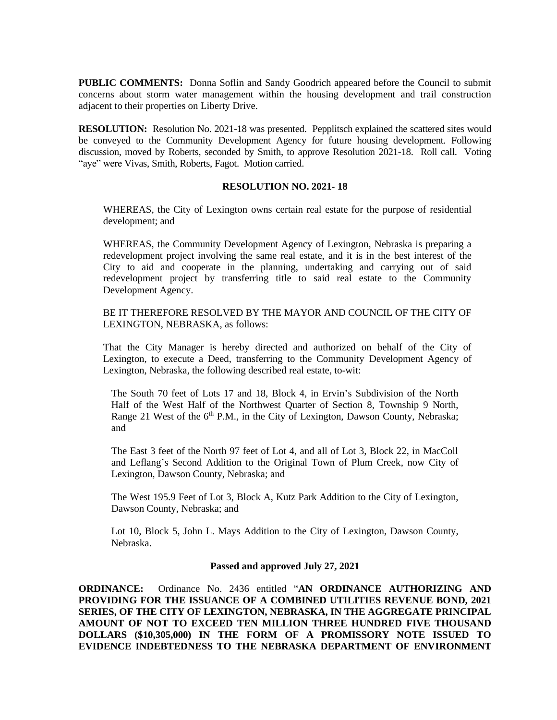**PUBLIC COMMENTS:** Donna Soflin and Sandy Goodrich appeared before the Council to submit concerns about storm water management within the housing development and trail construction adjacent to their properties on Liberty Drive.

**RESOLUTION:** Resolution No. 2021-18 was presented. Pepplitsch explained the scattered sites would be conveyed to the Community Development Agency for future housing development. Following discussion, moved by Roberts, seconded by Smith, to approve Resolution 2021-18. Roll call. Voting "aye" were Vivas, Smith, Roberts, Fagot. Motion carried.

## **RESOLUTION NO. 2021- 18**

WHEREAS, the City of Lexington owns certain real estate for the purpose of residential development; and

WHEREAS, the Community Development Agency of Lexington, Nebraska is preparing a redevelopment project involving the same real estate, and it is in the best interest of the City to aid and cooperate in the planning, undertaking and carrying out of said redevelopment project by transferring title to said real estate to the Community Development Agency.

BE IT THEREFORE RESOLVED BY THE MAYOR AND COUNCIL OF THE CITY OF LEXINGTON, NEBRASKA, as follows:

That the City Manager is hereby directed and authorized on behalf of the City of Lexington, to execute a Deed, transferring to the Community Development Agency of Lexington, Nebraska, the following described real estate, to-wit:

The South 70 feet of Lots 17 and 18, Block 4, in Ervin's Subdivision of the North Half of the West Half of the Northwest Quarter of Section 8, Township 9 North, Range 21 West of the  $6<sup>th</sup>$  P.M., in the City of Lexington, Dawson County, Nebraska; and

The East 3 feet of the North 97 feet of Lot 4, and all of Lot 3, Block 22, in MacColl and Leflang's Second Addition to the Original Town of Plum Creek, now City of Lexington, Dawson County, Nebraska; and

The West 195.9 Feet of Lot 3, Block A, Kutz Park Addition to the City of Lexington, Dawson County, Nebraska; and

Lot 10, Block 5, John L. Mays Addition to the City of Lexington, Dawson County, Nebraska.

## **Passed and approved July 27, 2021**

**ORDINANCE:** Ordinance No. 2436 entitled "**AN ORDINANCE AUTHORIZING AND PROVIDING FOR THE ISSUANCE OF A COMBINED UTILITIES REVENUE BOND, 2021 SERIES, OF THE CITY OF LEXINGTON, NEBRASKA, IN THE AGGREGATE PRINCIPAL AMOUNT OF NOT TO EXCEED TEN MILLION THREE HUNDRED FIVE THOUSAND DOLLARS (\$10,305,000) IN THE FORM OF A PROMISSORY NOTE ISSUED TO EVIDENCE INDEBTEDNESS TO THE NEBRASKA DEPARTMENT OF ENVIRONMENT**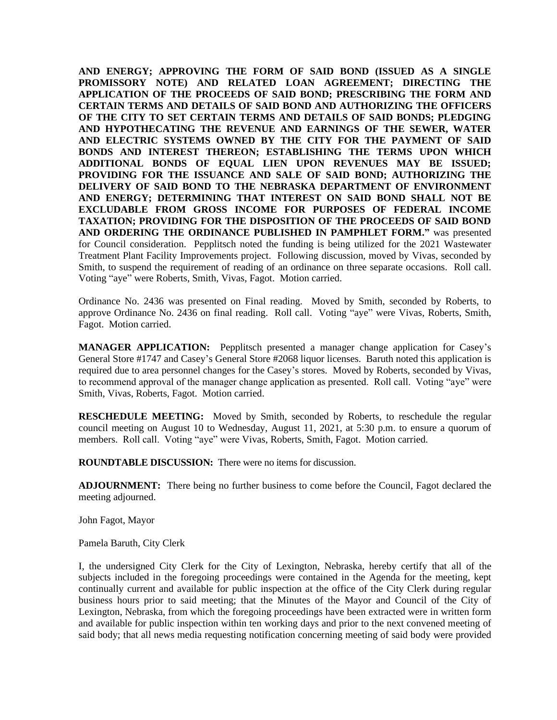**AND ENERGY; APPROVING THE FORM OF SAID BOND (ISSUED AS A SINGLE PROMISSORY NOTE) AND RELATED LOAN AGREEMENT; DIRECTING THE APPLICATION OF THE PROCEEDS OF SAID BOND; PRESCRIBING THE FORM AND CERTAIN TERMS AND DETAILS OF SAID BOND AND AUTHORIZING THE OFFICERS OF THE CITY TO SET CERTAIN TERMS AND DETAILS OF SAID BONDS; PLEDGING AND HYPOTHECATING THE REVENUE AND EARNINGS OF THE SEWER, WATER AND ELECTRIC SYSTEMS OWNED BY THE CITY FOR THE PAYMENT OF SAID BONDS AND INTEREST THEREON; ESTABLISHING THE TERMS UPON WHICH ADDITIONAL BONDS OF EQUAL LIEN UPON REVENUES MAY BE ISSUED; PROVIDING FOR THE ISSUANCE AND SALE OF SAID BOND; AUTHORIZING THE DELIVERY OF SAID BOND TO THE NEBRASKA DEPARTMENT OF ENVIRONMENT AND ENERGY; DETERMINING THAT INTEREST ON SAID BOND SHALL NOT BE EXCLUDABLE FROM GROSS INCOME FOR PURPOSES OF FEDERAL INCOME TAXATION; PROVIDING FOR THE DISPOSITION OF THE PROCEEDS OF SAID BOND AND ORDERING THE ORDINANCE PUBLISHED IN PAMPHLET FORM."** was presented for Council consideration. Pepplitsch noted the funding is being utilized for the 2021 Wastewater Treatment Plant Facility Improvements project. Following discussion, moved by Vivas, seconded by Smith, to suspend the requirement of reading of an ordinance on three separate occasions. Roll call. Voting "aye" were Roberts, Smith, Vivas, Fagot. Motion carried.

Ordinance No. 2436 was presented on Final reading. Moved by Smith, seconded by Roberts, to approve Ordinance No. 2436 on final reading. Roll call. Voting "aye" were Vivas, Roberts, Smith, Fagot. Motion carried.

**MANAGER APPLICATION:** Pepplitsch presented a manager change application for Casey's General Store #1747 and Casey's General Store #2068 liquor licenses. Baruth noted this application is required due to area personnel changes for the Casey's stores. Moved by Roberts, seconded by Vivas, to recommend approval of the manager change application as presented. Roll call. Voting "aye" were Smith, Vivas, Roberts, Fagot. Motion carried.

**RESCHEDULE MEETING:** Moved by Smith, seconded by Roberts, to reschedule the regular council meeting on August 10 to Wednesday, August 11, 2021, at 5:30 p.m. to ensure a quorum of members. Roll call. Voting "aye" were Vivas, Roberts, Smith, Fagot. Motion carried.

**ROUNDTABLE DISCUSSION:** There were no items for discussion.

**ADJOURNMENT:** There being no further business to come before the Council, Fagot declared the meeting adjourned.

John Fagot, Mayor

Pamela Baruth, City Clerk

I, the undersigned City Clerk for the City of Lexington, Nebraska, hereby certify that all of the subjects included in the foregoing proceedings were contained in the Agenda for the meeting, kept continually current and available for public inspection at the office of the City Clerk during regular business hours prior to said meeting; that the Minutes of the Mayor and Council of the City of Lexington, Nebraska, from which the foregoing proceedings have been extracted were in written form and available for public inspection within ten working days and prior to the next convened meeting of said body; that all news media requesting notification concerning meeting of said body were provided